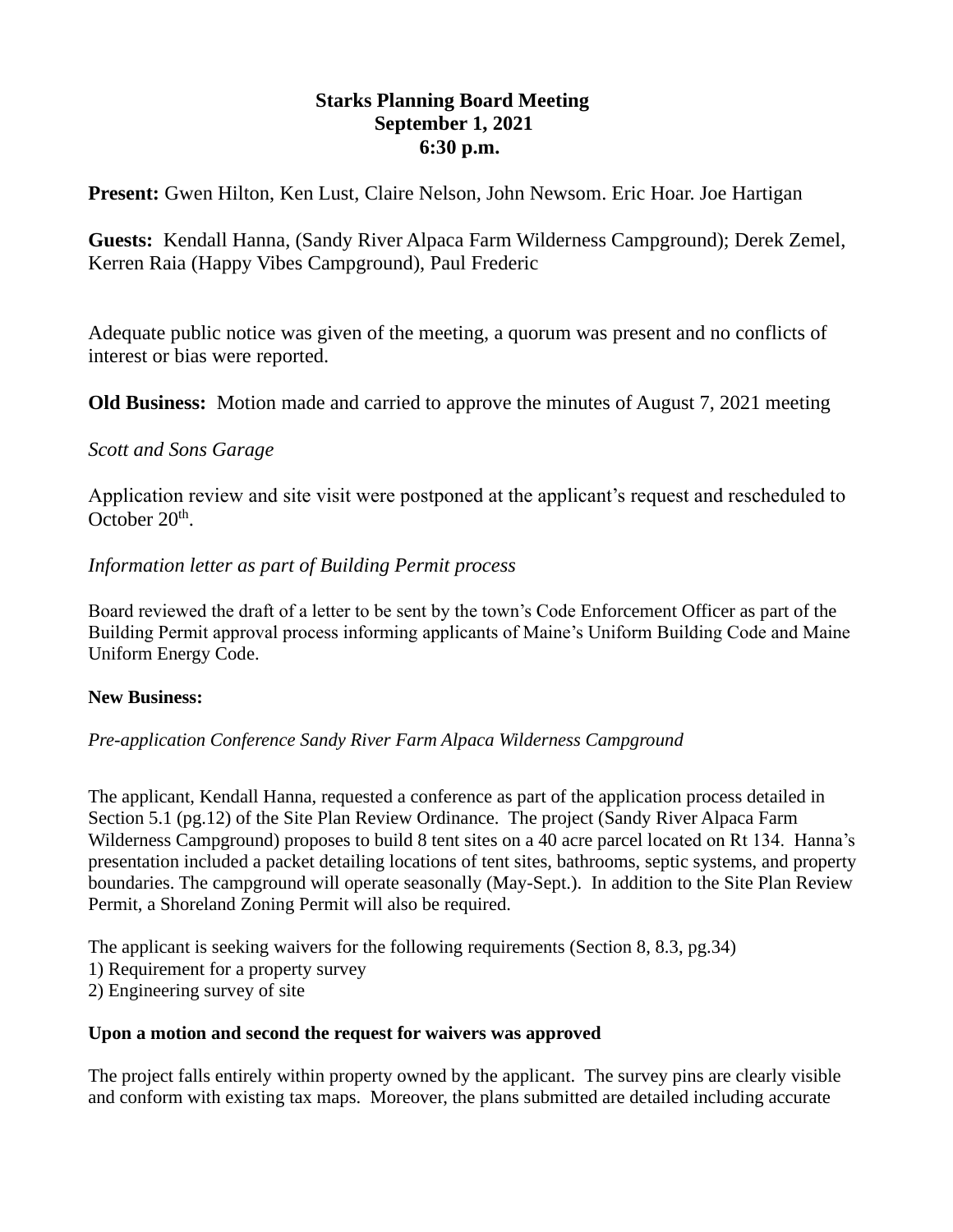# **Starks Planning Board Meeting September 1, 2021 6:30 p.m.**

**Present:** Gwen Hilton, Ken Lust, Claire Nelson, John Newsom. Eric Hoar. Joe Hartigan

**Guests:** Kendall Hanna, (Sandy River Alpaca Farm Wilderness Campground); Derek Zemel, Kerren Raia (Happy Vibes Campground), Paul Frederic

Adequate public notice was given of the meeting, a quorum was present and no conflicts of interest or bias were reported.

**Old Business:** Motion made and carried to approve the minutes of August 7, 2021 meeting

# *Scott and Sons Garage*

Application review and site visit were postponed at the applicant's request and rescheduled to October 20<sup>th</sup>.

# *Information letter as part of Building Permit process*

Board reviewed the draft of a letter to be sent by the town's Code Enforcement Officer as part of the Building Permit approval process informing applicants of Maine's Uniform Building Code and Maine Uniform Energy Code.

# **New Business:**

*Pre-application Conference Sandy River Farm Alpaca Wilderness Campground*

The applicant, Kendall Hanna, requested a conference as part of the application process detailed in Section 5.1 (pg.12) of the Site Plan Review Ordinance. The project (Sandy River Alpaca Farm Wilderness Campground) proposes to build 8 tent sites on a 40 acre parcel located on Rt 134. Hanna's presentation included a packet detailing locations of tent sites, bathrooms, septic systems, and property boundaries. The campground will operate seasonally (May-Sept.). In addition to the Site Plan Review Permit, a Shoreland Zoning Permit will also be required.

The applicant is seeking waivers for the following requirements (Section 8, 8.3, pg.34)

- 1) Requirement for a property survey
- 2) Engineering survey of site

# **Upon a motion and second the request for waivers was approved**

The project falls entirely within property owned by the applicant. The survey pins are clearly visible and conform with existing tax maps. Moreover, the plans submitted are detailed including accurate